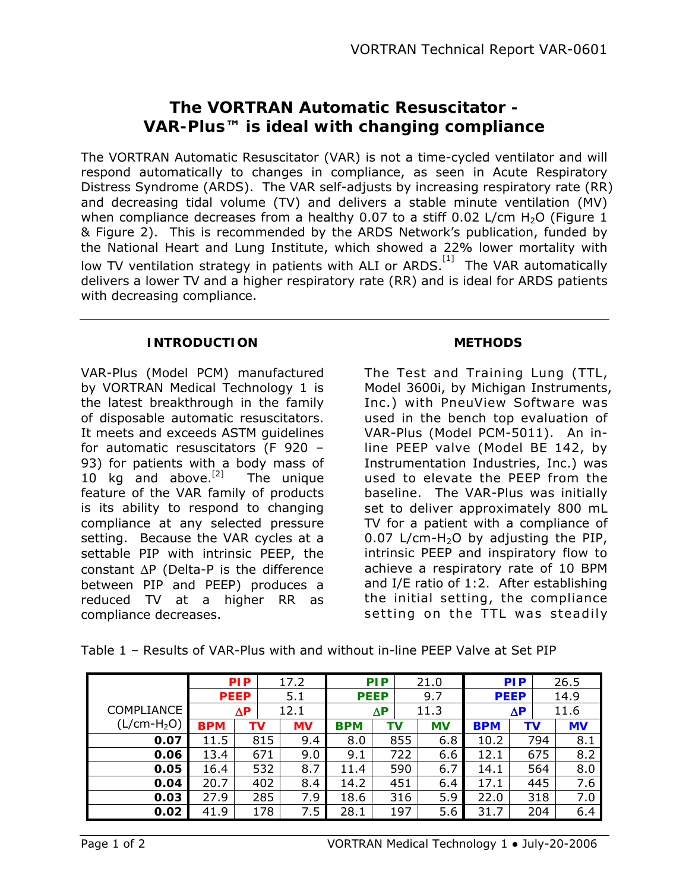# **The VORTRAN Automatic Resuscitator - VAR-Plus™ is ideal with changing compliance**

The VORTRAN Automatic Resuscitator (VAR) is not a time-cycled ventilator and will respond automatically to changes in compliance, as seen in Acute Respiratory Distress Syndrome (ARDS). The VAR self-adjusts by increasing respiratory rate (RR) and decreasing tidal volume (TV) and delivers a stable minute ventilation (MV) when compliance decreases from a healthy 0.07 to a stiff 0.02 L/cm  $H_2O$  (Figure 1 & Figure 2). This is recommended by the ARDS Network's publication, funded by the National Heart and Lung Institute, which showed a 22% lower mortality with low TV ventilation strategy in patients with ALI or ARDS.<sup>[1]</sup> The VAR automatically delivers a lower TV and a higher respiratory rate (RR) and is ideal for ARDS patients with decreasing compliance.

### **INTRODUCTION**

VAR-Plus (Model PCM) manufactured by VORTRAN Medical Technology 1 is the latest breakthrough in the family of disposable automatic resuscitators. It meets and exceeds ASTM guidelines for automatic resuscitators (F 920 – 93) for patients with a body mass of 10 kg and above. $^{[2]}$  The unique feature of the VAR family of products is its ability to respond to changing compliance at any selected pressure setting. Because the VAR cycles at a settable PIP with intrinsic PEEP, the constant ΔP (Delta-P is the difference between PIP and PEEP) produces a reduced TV at a higher RR as compliance decreases.

### **METHODS**

The Test and Training Lung (TTL, Model 3600i, by Michigan Instruments, Inc.) with PneuView Software was used in the bench top evaluation of VAR-Plus (Model PCM-5011). An inline PEEP valve (Model BE 142, by Instrumentation Industries, Inc.) was used to elevate the PEEP from the baseline. The VAR-Plus was initially set to deliver approximately 800 mL TV for a patient with a compliance of 0.07 L/cm-H<sub>2</sub>O by adjusting the PIP, intrinsic PEEP and inspiratory flow to achieve a respiratory rate of 10 BPM and I/E ratio of 1:2. After establishing the initial setting, the compliance setting on the TTL was steadily

|              |            | <b>PIP</b>  | 17.2      | <b>PIP</b>  |    | 21.0 |           |            | <b>PIP</b>  | 26.5      |  |
|--------------|------------|-------------|-----------|-------------|----|------|-----------|------------|-------------|-----------|--|
|              |            | <b>PEEP</b> | 5.1       | <b>PEEP</b> |    | 9.7  |           |            | <b>PEEP</b> | 14.9      |  |
| COMPLIANCE   | $\Delta P$ |             | 12.1      | ΔΡ          |    | 11.3 |           |            | $\Delta P$  | 11.6      |  |
| $(L/cm-H2O)$ | <b>BPM</b> | ΤV          | <b>MV</b> | <b>BPM</b>  | ΤV |      | <b>MV</b> | <b>BPM</b> | ΤV          | <b>MV</b> |  |
| 0.07         | 11.5       | 815         | 9.4       | 8.0         |    | 855  | 6.8       | 10.2       | 794         | 8.1       |  |
| 0.06         | 13.4       | 671         | 9.0       | 9.1         |    | 722  | 6.6       | 12.1       | 675         | 8.2       |  |
| 0.05         | 16.4       | 532         | 8.7       | 11.4        |    | 590  | 6.7       | 14.1       | 564         | 8.0       |  |
| 0.04         | 20.7       | 402         | 8.4       | 14.2        |    | 451  | 6.4       | 17.1       | 445         | 7.6       |  |
| 0.03         | 27.9       | 285         | 7.9       | 18.6        |    | 316  | 5.9       | 22.0       | 318         | 7.0       |  |
| 0.02         | 41.9       | 178         | 7.5       | 28.1        |    | 197  | 5.6       | 31.7       | 204         | 6.4       |  |

Table 1 – Results of VAR-Plus with and without in-line PEEP Valve at Set PIP